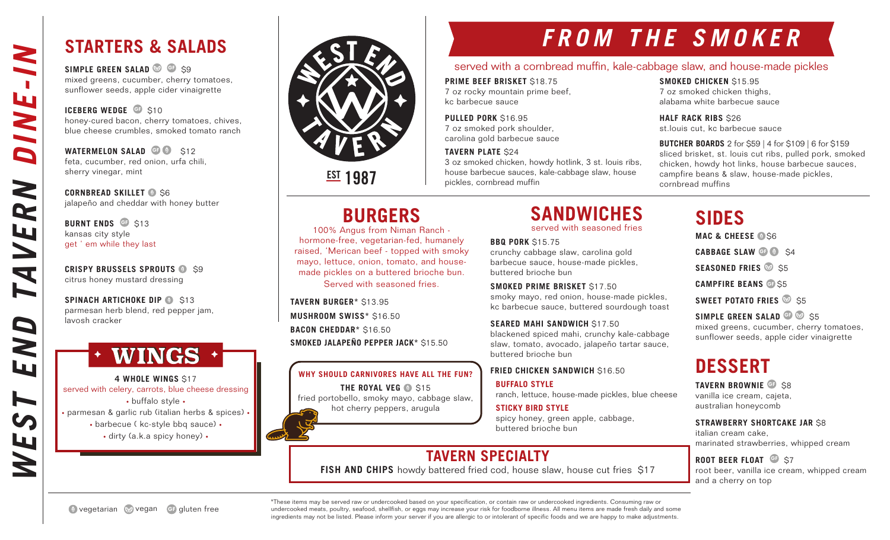## **STARTERS & SALADS**

**SIMPLE GREEN SALAD GF** \$9 mixed greens, cucumber, cherry tomatoes, sunflower seeds, apple cider vinaigrette

**ICEBERG WEDGE** GF \$10 honey-cured bacon, cherry tomatoes, chives, blue cheese crumbles, smoked tomato ranch

**WATERMELON SALAD GF 312** feta, cucumber, red onion, urfa chili, sherry vinegar, mint

**CORNBREAD SKILLET @ S6** jalapeño and cheddar with honey butter

**BURNT ENDS** GF \$13 kansas city style get ' em while they last

**CRISPY BRUSSELS SPROUTS @ \$9** citrus honey mustard dressing

**SPINACH ARTICHOKE DIP @ \$13** parmesan herb blend, red pepper jam, lavosh cracker

## WINGS +

**4 WHOLE WINGS** \$17 served with celery, carrots, blue cheese dressing • buffalo style • • parmesan & garlic rub (italian herbs & spices) • • barbecue ( kc-style bbq sauce) • • dirty (a.k.a spicy honey) •



**EST 1987** 

# **FROM THE SMOKER**

#### served with a cornbread muffin, kale-cabbage slaw, and house-made pickles

**PRIME BEEF BRISKET** \$18.75 7 oz rocky mountain prime beef, kc barbecue sauce

**PULLED PORK** \$16.95 7 oz smoked pork shoulder, carolina gold barbecue sauce

**TAVERN PLATE** \$24 3 oz smoked chicken, howdy hotlink, 3 st. louis ribs, house barbecue sauces, kale-cabbage slaw, house pickles, cornbread muffin

**SMOKED CHICKEN** \$15.95

7 oz smoked chicken thighs, alabama white barbecue sauce

**HALF RACK RIBS \$26** st.louis cut, kc barbecue sauce

**BUTCHER BOARDS** 2 for \$59 | 4 for \$109 | 6 for \$159 sliced brisket, st. louis cut ribs, pulled pork, smoked chicken, howdy hot links, house barbecue sauces, campfire beans & slaw, house-made pickles, cornbread muffins

**BURGERS**

100% Angus from Niman Ranch hormone-free, vegetarian-fed, humanely raised, 'Merican beef - topped with smoky mayo, lettuce, onion, tomato, and housemade pickles on a buttered brioche bun. Served with seasoned fries.

**TAVERN BURGER\*** \$13.95 **MUSHROOM SWISS\*** \$16.50 **BACON CHEDDAR\*** \$16.50 **SMOKED JALAPEÑO PEPPER JACK\*** \$15.50

**WHY SHOULD CARNIVORES HAVE ALL THE FUN? THE ROYAL VEG @ \$15** fried portobello, smoky mayo, cabbage slaw, hot cherry peppers, arugula

## **SANDWICHES**

served with seasoned fries

**BBQ PORK** \$15.75

crunchy cabbage slaw, carolina gold barbecue sauce, house-made pickles, buttered brioche bun

**SMOKED PRIME BRISKET** \$17.50 smoky mayo, red onion, house-made pickles, kc barbecue sauce, buttered sourdough toast

**SEARED MAHI SANDWICH** \$17.50 blackened spiced mahi, crunchy kale-cabbage slaw, tomato, avocado, jalapeño tartar sauce, buttered brioche bun

#### **FRIED CHICKEN SANDWICH \$16.50**

**BUFFALO STYLE** ranch, lettuce, house-made pickles, blue cheese

**STICKY BIRD STYLE** spicy honey, green apple, cabbage, buttered brioche bun

## **TAVERN SPECIALTY**

**FISH AND CHIPS** howdy battered fried cod, house slaw, house cut fries \$17

**SIDES MAC & CHEESE @ \$6** 

**CABBAGE SLAW GF @ S4** 

**SEASONED FRIES** 8 S5

**CAMPFIRE BEANS** GF \$5

**SWEET POTATO FRIES** 8 \$5

**SIMPLE GREEN SALAD GF \$5** \$5 mixed greens, cucumber, cherry tomatoes, sunflower seeds, apple cider vinaigrette

## **DESSERT**

**TAVERN BROWNIE GF** \$8 vanilla ice cream, cajeta, australian honeycomb

**STRAWBERRY SHORTCAKE JAR** \$8

italian cream cake, marinated strawberries, whipped cream

**ROOT BEER FLOAT GF \$7** root beer, vanilla ice cream, whipped cream

and a cherry on top

vegetarian vegan GF gluten free

\*These items may be served raw or undercooked based on your specification, or contain raw or undercooked ingredients. Consuming raw or undercooked meats, poultry, seafood, shellfish, or eggs may increase your risk for foodborne illness. All menu items are made fresh daily and some ingredients may not be listed. Please inform your server if you are allergic to or intolerant of specific foods and we are happy to make adjustments.